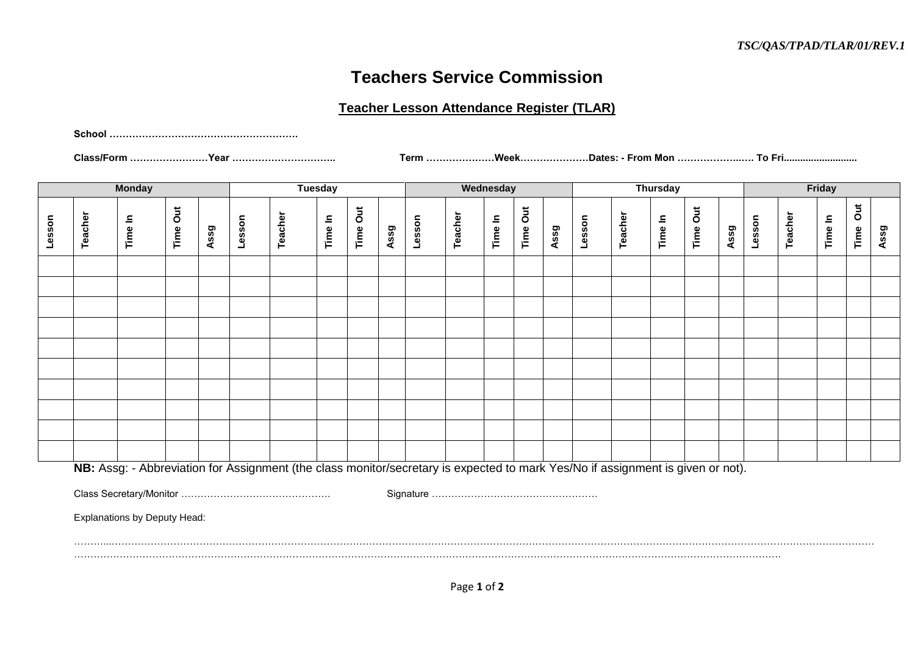## **Teachers Service Commission**

## **Teacher Lesson Attendance Register (TLAR)**

**School ………………………………………………….**

**Class/Form ……………………Year ………………………….. Term …………………Week…………………Dates: - From Mon ………………..…. To Fri...........................**

| <b>Monday</b> |                                                                                                                                 |                                     |          | <b>Tuesday</b> |        |         |         | Wednesday |      |        | <b>Thursday</b> |         |          |      | Friday |         |         |          |      |        |         |         |                   |      |
|---------------|---------------------------------------------------------------------------------------------------------------------------------|-------------------------------------|----------|----------------|--------|---------|---------|-----------|------|--------|-----------------|---------|----------|------|--------|---------|---------|----------|------|--------|---------|---------|-------------------|------|
| Lesson        | Teacher                                                                                                                         | Time In                             | Time Out | Assg           | Lesson | Teacher | Time In | Time Out  | Assg | Lesson | Teacher         | Time In | Time Out | Assg | Lesson | Teacher | Time In | Time Out | Assg | Lesson | Teacher | Time In | $\vec{o}$<br>Time | Assg |
|               |                                                                                                                                 |                                     |          |                |        |         |         |           |      |        |                 |         |          |      |        |         |         |          |      |        |         |         |                   |      |
|               |                                                                                                                                 |                                     |          |                |        |         |         |           |      |        |                 |         |          |      |        |         |         |          |      |        |         |         |                   |      |
|               |                                                                                                                                 |                                     |          |                |        |         |         |           |      |        |                 |         |          |      |        |         |         |          |      |        |         |         |                   |      |
|               |                                                                                                                                 |                                     |          |                |        |         |         |           |      |        |                 |         |          |      |        |         |         |          |      |        |         |         |                   |      |
|               |                                                                                                                                 |                                     |          |                |        |         |         |           |      |        |                 |         |          |      |        |         |         |          |      |        |         |         |                   |      |
|               |                                                                                                                                 |                                     |          |                |        |         |         |           |      |        |                 |         |          |      |        |         |         |          |      |        |         |         |                   |      |
|               |                                                                                                                                 |                                     |          |                |        |         |         |           |      |        |                 |         |          |      |        |         |         |          |      |        |         |         |                   |      |
|               |                                                                                                                                 |                                     |          |                |        |         |         |           |      |        |                 |         |          |      |        |         |         |          |      |        |         |         |                   |      |
|               |                                                                                                                                 |                                     |          |                |        |         |         |           |      |        |                 |         |          |      |        |         |         |          |      |        |         |         |                   |      |
|               |                                                                                                                                 |                                     |          |                |        |         |         |           |      |        |                 |         |          |      |        |         |         |          |      |        |         |         |                   |      |
|               | NB: Assg: - Abbreviation for Assignment (the class monitor/secretary is expected to mark Yes/No if assignment is given or not). |                                     |          |                |        |         |         |           |      |        |                 |         |          |      |        |         |         |          |      |        |         |         |                   |      |
|               |                                                                                                                                 |                                     |          |                |        |         |         |           |      |        |                 |         |          |      |        |         |         |          |      |        |         |         |                   |      |
|               |                                                                                                                                 | <b>Explanations by Deputy Head:</b> |          |                |        |         |         |           |      |        |                 |         |          |      |        |         |         |          |      |        |         |         |                   |      |

………...………………………………………………………………………………………………………………………………………………………………………………………………………………

……………………………………………………………………………………………………………………………………………………………………………………………….